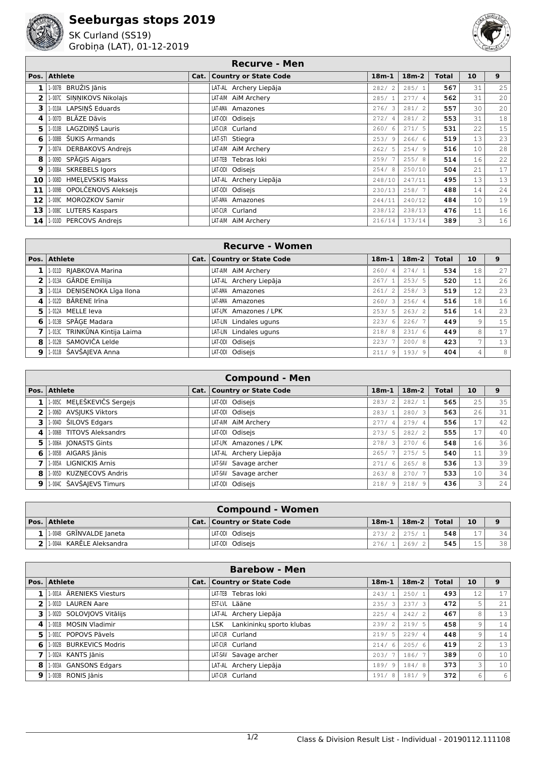## **Seeburgas stops 2019**



SK Curland (SS19) Grobiņa (LAT), 01-12-2019



## **Recurve - Men**

| Pos. | <b>Athlete</b>             | Cat.   Country or State Code | $18m-1$                | $18m-2$ | <b>Total</b> | 10 | 9  |
|------|----------------------------|------------------------------|------------------------|---------|--------------|----|----|
| 1    | 1-007B BRUŽIS Jānis        | LAT-AL Archery Liepāja       | 282/<br>2              | 285/1   | 567          | 31 | 25 |
| 2    | 1-007C SINNIKOVS Nikolais  | LAT-AIM AIM Archery          | 285/1                  | 277/4   | 562          | 31 | 20 |
| 3    | 1-010A LAPSIŅŠ Eduards     | LAT-AMA Amazones             | 276/3                  | 281/2   | 557          | 30 | 20 |
| 4    | 1-007D BLĀZE Dāvis         | LAT-ODI Odisejs              | 272/<br>$\overline{4}$ | 281/2   | 553          | 31 | 18 |
| 5    | 1-010B LAGZDINŠ Lauris     | LAT-CUR Curland              | 260/6                  | 271/5   | 531          | 22 | 15 |
| 6    | 1-008B ŠUKIS Armands       | LAT-STI Stiegra              | 253/9                  | 266/6   | 519          | 13 | 23 |
| 7    | 1-007A DERBAKOVS Andrejs   | LAT-AIM AIM Archery          | 262/5                  | 254/9   | 516          | 10 | 28 |
| 8    | 1-009D SPĀGIS Aigars       | LAT-TEB Tebras loki          | 259/7                  | 255/8   | 514          | 16 | 22 |
| 9    | 1-008A SKREBELS Igors      | LAT-ODI Odisejs              | 254/8                  | 250/10  | 504          | 21 | 17 |
| 10   | 1-008D HMELEVSKIS Makss    | LAT-AL Archery Liepāja       | 248/10                 | 247/11  | 495          | 13 | 13 |
| 11   | 1-009B OPOLČENOVS Aleksejs | LAT-ODI Odisejs              | 230/13                 | 258/7   | 488          | 14 | 24 |
| 12   | 1-009C MOROZKOV Samir      | LAT-AMA Amazones             | 244/11                 | 240/12  | 484          | 10 | 19 |
| 13   | 1-008C LUTERS Kaspars      | LAT-CUR Curland              | 238/12                 | 238/13  | 476          | 11 | 16 |
| 14   | 1-0100 PERCOVS Andrejs     | LAT-AIM AIM Archery          | 216/14                 | 173/14  | 389          | 3  | 16 |

|              | <b>Recurve - Women</b>          |  |                              |             |         |              |                |    |  |
|--------------|---------------------------------|--|------------------------------|-------------|---------|--------------|----------------|----|--|
|              | Pos. Athlete                    |  | Cat.   Country or State Code | $18m-1$     | $18m-2$ | <b>Total</b> | 10             | 9  |  |
| 1            | 1-011D RIABKOVA Marina          |  | LAT-AIM AIM Archery          | 260/<br>4   | 274/1   | 534          | 18             | 27 |  |
| 21           | 1-013A GĀRDE Emīlija            |  | LAT-AL Archery Liepāja       | 267/1       | 253/5   | 520          | 11             | 26 |  |
| 31           | 1-011A DENISENOKA Līga Ilona    |  | LAT-AMA Amazones             | 261/2       | 258/3   | 519          | 12             | 23 |  |
| 4            | 1-012D BĀRENE Irīna             |  | LAT-AMA Amazones             | 260/3       | 256/4   | 516          | 18             | 16 |  |
| 51           | 1-012A MELLE leva               |  | LAT-LPK Amazones / LPK       | 253/<br>- 5 | 263/2   | 516          | 14             | 23 |  |
| 6            | 1-013B SPĀGE Madara             |  | LAT-LIN Lindales uguns       | 223/<br>6   | 226/7   | 449          | 9              | 15 |  |
|              | 7 1.0130 TRINKŪNA Kintija Laima |  | LAT-LIN Lindales uguns       | 218/8       | 231/6   | 449          | 8              | 17 |  |
|              | 8 1.012B SAMOVIČA Lelde         |  | LAT-ODI Odisejs              | 223/        | 200/8   | 423          | $\overline{ }$ | 13 |  |
| $\mathbf{9}$ | 1-011B ŠAVŠAJEVA Anna           |  | LAT-ODI Odisejs              | -9<br>211/  | 193/9   | 404          | 4              | 8  |  |

|                | <b>Compound - Men</b>      |  |                              |         |         |              |    |    |  |
|----------------|----------------------------|--|------------------------------|---------|---------|--------------|----|----|--|
|                | Pos. Athlete               |  | Cat.   Country or State Code | $18m-1$ | $18m-2$ | <b>Total</b> | 10 | 9  |  |
| $1\vert$       | 1-005C MELEŠKEVIČS Sergejs |  | LAT-ODI Odisejs              | 283/2   | 282/1   | 565          | 25 | 35 |  |
| $2^+$          | 1-006D AVSJUKS Viktors     |  | LAT-ODI Odisejs              | 283/1   | 280/3   | 563          | 26 | 31 |  |
| 31             | 1-004D ŠILOVS Edgars       |  | LAT-AIM AIM Archery          | 277/4   | 279/4   | 556          | 17 | 42 |  |
| $\mathbf{4}$   | 1-006B TITOVS Aleksandrs   |  | LAT-ODI Odisejs              | 273/5   | 282/2   | 555          | 17 | 40 |  |
| 5              | 1-006A JONASTS Gints       |  | LAT-LPK Amazones / LPK       | 278/3   | 270/6   | 548          | 16 | 36 |  |
| 6 <sup>1</sup> | 1-005B AIGARS Jānis        |  | LAT-AL Archery Liepāja       | 265/7   | 275/5   | 540          | 11 | 39 |  |
|                | 1-005A LIGNICKIS Arnis     |  | LAT-SAV Savage archer        | 271/6   | 265/8   | 536          | 13 | 39 |  |
| 8              | 1-005D KUZNECOVS Andris    |  | LAT-SAV Savage archer        | 263/8   | 270/7   | 533          | 10 | 34 |  |
| 9 <sup>1</sup> | 1-004C ŠAVŠAJEVS Timurs    |  | LAT-ODI Odisejs              | 218/9   | 218/9   | 436          | 3  | 24 |  |

| <b>Compound - Women</b>         |  |                              |         |               |       |                 |    |  |  |
|---------------------------------|--|------------------------------|---------|---------------|-------|-----------------|----|--|--|
| Pos. Athlete                    |  | Cat.   Country or State Code | $18m-1$ | $18m-2$       | Total | 10 <sup>°</sup> |    |  |  |
| $1$   1 $004B$ GRINVALDE Janeta |  | LAT-ODI Odisejs              |         | $273/2$ 275/1 | 548   | 17              | 34 |  |  |
| $2$   1.004A KARĒLE Aleksandra  |  | LAT-ODI Odisejs              | 276/1   | 269/2         | 545   | 15              | 38 |  |  |

|              | <b>Barebow - Men</b>      |  |                              |                                 |         |              |                |     |  |
|--------------|---------------------------|--|------------------------------|---------------------------------|---------|--------------|----------------|-----|--|
| Pos.         | <b>Athlete</b>            |  | Cat.   Country or State Code | $18m-1$                         | $18m-2$ | <b>Total</b> | 10             | 9   |  |
|              | 1-001A ARENIEKS Viesturs  |  | LAT-TEB Tebras loki          | 243/1                           | 250/1   | 493          | 12             | 17  |  |
| $\mathbf{2}$ | 1-001D LAUREN Aare        |  | EST-LVL Lääne                | 235/<br>$\overline{\mathbf{3}}$ | 237/3   | 472          | 5              | 2.1 |  |
| 3.           | 1-002D SOLOVIOVS Vitālijs |  | LAT-AL Archery Liepāja       | 225/<br>$\overline{4}$          | 242/2   | 467          | 8              | 13  |  |
| 4            | 1-0018 MOSIN Vladimir     |  | LSK Lankininky sporto klubas | 239/2                           | 219/5   | 458          | 9              | 14  |  |
| 5.           | 1-001C POPOVS Pāvels      |  | LAT-CUR Curland              | 219/5                           | 229/4   | 448          | 9              | 14  |  |
| 6            | 1-002B BURKEVICS Modris   |  | LAT-CUR Curland              | 214/<br>6                       | 205/6   | 419          | $\overline{c}$ | 13  |  |
|              | 1-002A KANTS Jānis        |  | LAT-SAV Savage archer        | 203/                            | 186/7   | 389          | $\circ$        | 10  |  |
| 8            | 1-003A GANSONS Edgars     |  | LAT-AL Archery Liepāja       | 189/<br>- 9                     | 184/8   | 373          | 3              | 10  |  |
| 9            | 1-003B RONIS Jānis        |  | LAT-CUR Curland              | 191/<br>-8                      | 181/9   | 372          | 6              | 6   |  |